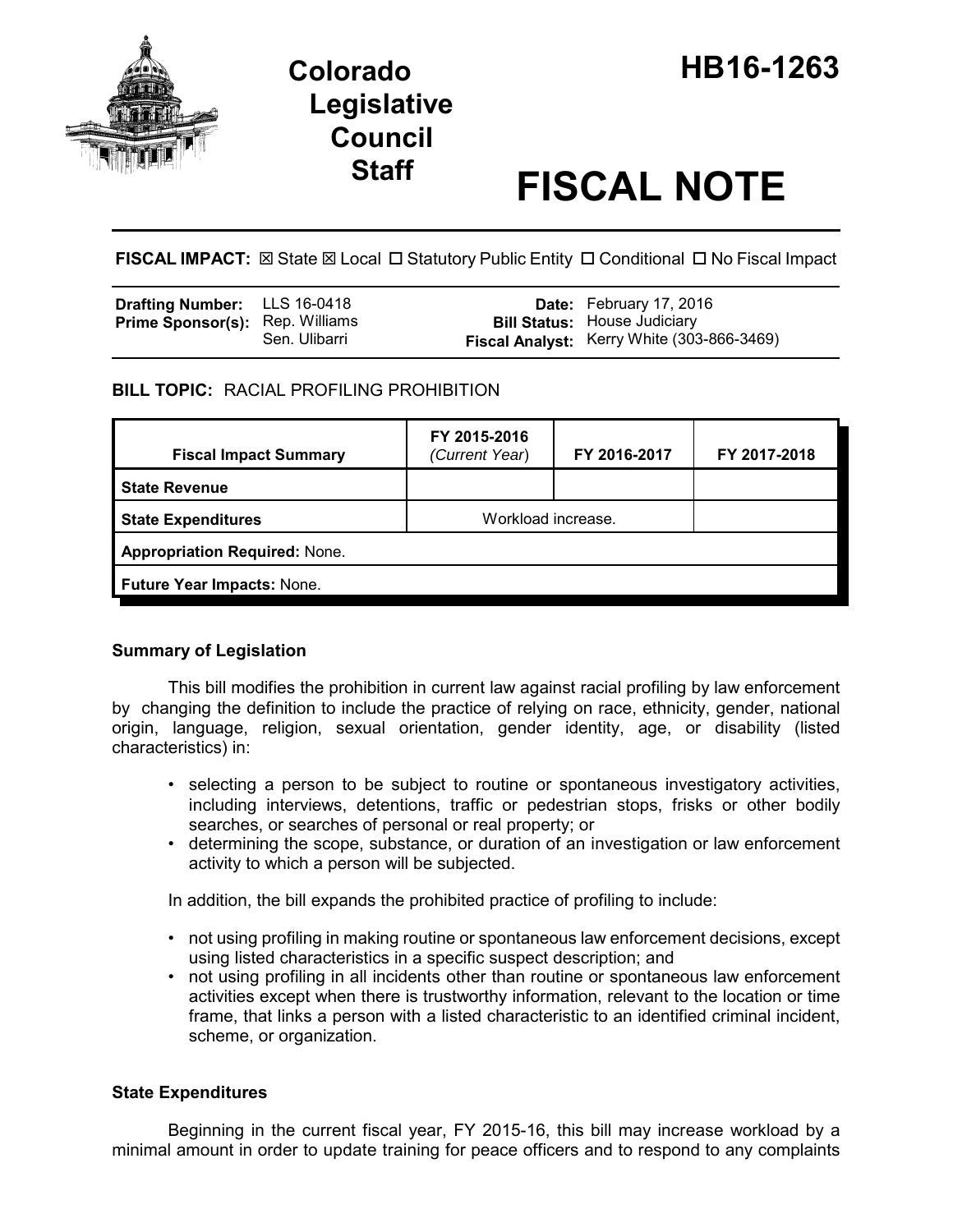

# **Staff FISCAL NOTE**

FISCAL IMPACT:  $\boxtimes$  State  $\boxtimes$  Local  $\Box$  Statutory Public Entity  $\Box$  Conditional  $\Box$  No Fiscal Impact

| <b>Drafting Number:</b> LLS 16-0418    |               | Date: February 17, 2016                                                           |
|----------------------------------------|---------------|-----------------------------------------------------------------------------------|
| <b>Prime Sponsor(s):</b> Rep. Williams | Sen. Ulibarri | <b>Bill Status: House Judiciary</b><br>Fiscal Analyst: Kerry White (303-866-3469) |

## **BILL TOPIC:** RACIAL PROFILING PROHIBITION

| <b>Fiscal Impact Summary</b>         | FY 2015-2016<br>(Current Year) | FY 2016-2017 | FY 2017-2018 |  |  |
|--------------------------------------|--------------------------------|--------------|--------------|--|--|
| <b>State Revenue</b>                 |                                |              |              |  |  |
| <b>State Expenditures</b>            | Workload increase.             |              |              |  |  |
| <b>Appropriation Required: None.</b> |                                |              |              |  |  |
| Future Year Impacts: None.           |                                |              |              |  |  |

## **Summary of Legislation**

This bill modifies the prohibition in current law against racial profiling by law enforcement by changing the definition to include the practice of relying on race, ethnicity, gender, national origin, language, religion, sexual orientation, gender identity, age, or disability (listed characteristics) in:

- selecting a person to be subject to routine or spontaneous investigatory activities, including interviews, detentions, traffic or pedestrian stops, frisks or other bodily searches, or searches of personal or real property; or
- determining the scope, substance, or duration of an investigation or law enforcement activity to which a person will be subjected.

In addition, the bill expands the prohibited practice of profiling to include:

- not using profiling in making routine or spontaneous law enforcement decisions, except using listed characteristics in a specific suspect description; and
- not using profiling in all incidents other than routine or spontaneous law enforcement activities except when there is trustworthy information, relevant to the location or time frame, that links a person with a listed characteristic to an identified criminal incident, scheme, or organization.

## **State Expenditures**

Beginning in the current fiscal year, FY 2015-16, this bill may increase workload by a minimal amount in order to update training for peace officers and to respond to any complaints